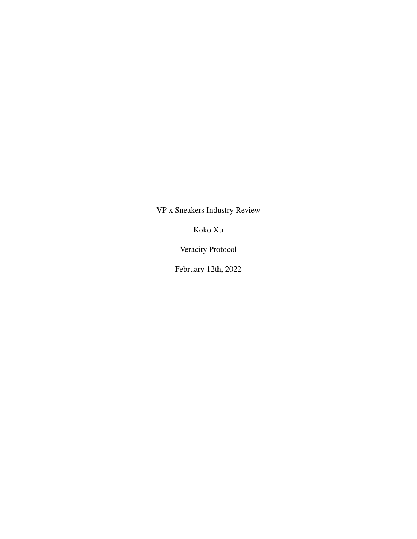VP x Sneakers Industry Review

Koko Xu

Veracity Protocol

February 12th, 2022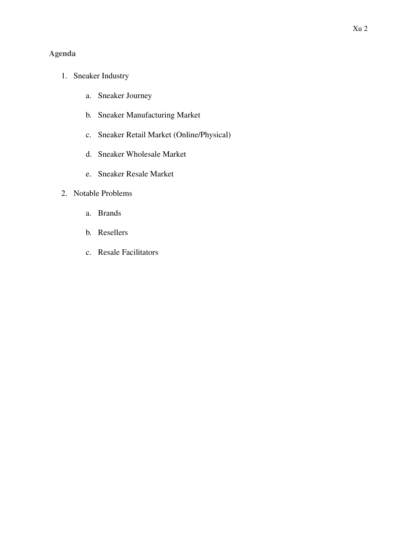# **Agenda**

- 1. Sneaker Industry
	- a. Sneaker Journey
	- b. Sneaker Manufacturing Market
	- c. Sneaker Retail Market (Online/Physical)
	- d. Sneaker Wholesale Market
	- e. Sneaker Resale Market

# 2. Notable Problems

- a. Brands
- b. Resellers
- c. Resale Facilitators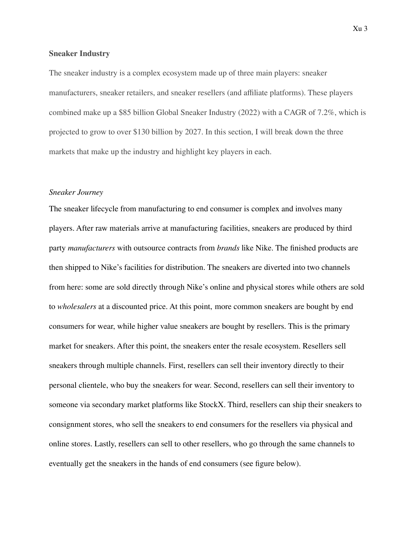#### **Sneaker Industry**

The sneaker industry is a complex ecosystem made up of three main players: sneaker manufacturers, sneaker retailers, and sneaker resellers (and affiliate platforms). These players combined make up a \$85 billion Global Sneaker Industry (2022) with a CAGR of 7.2%, which is projected to grow to over \$130 billion by 2027. In this section, I will break down the three markets that make up the industry and highlight key players in each.

#### *Sneaker Journey*

The sneaker lifecycle from manufacturing to end consumer is complex and involves many players. After raw materials arrive at manufacturing facilities, sneakers are produced by third party *manufacturers* with outsource contracts from *brands* like Nike. The finished products are then shipped to Nike's facilities for distribution. The sneakers are diverted into two channels from here: some are sold directly through Nike's online and physical stores while others are sold to *wholesalers* at a discounted price. At this point, more common sneakers are bought by end consumers for wear, while higher value sneakers are bought by resellers. This is the primary market for sneakers. After this point, the sneakers enter the resale ecosystem. Resellers sell sneakers through multiple channels. First, resellers can sell their inventory directly to their personal clientele, who buy the sneakers for wear. Second, resellers can sell their inventory to someone via secondary market platforms like StockX. Third, resellers can ship their sneakers to consignment stores, who sell the sneakers to end consumers for the resellers via physical and online stores. Lastly, resellers can sell to other resellers, who go through the same channels to eventually get the sneakers in the hands of end consumers (see figure below).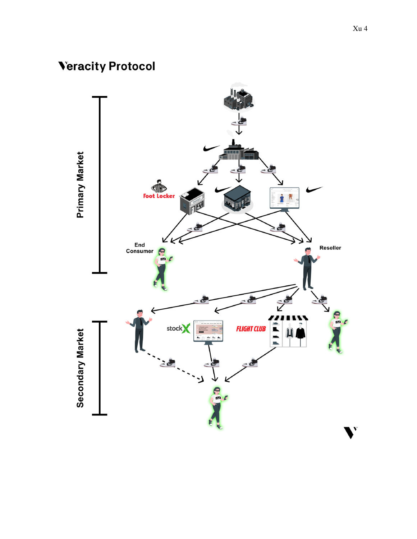# **Veracity Protocol**

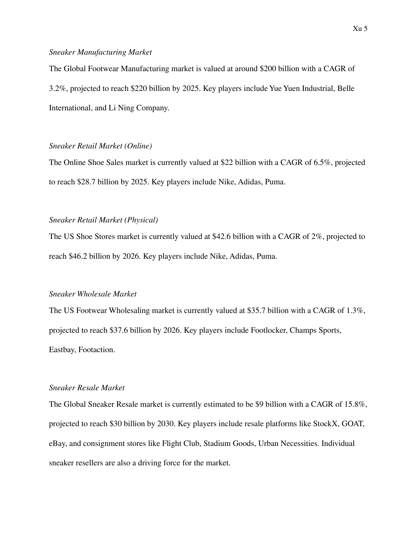#### *Sneaker Manufacturing Market*

The Global Footwear Manufacturing market is valued at around \$200 billion with a CAGR of 3.2%, projected to reach \$220 billion by 2025. Key players include Yue Yuen Industrial, Belle International, and Li Ning Company.

## *Sneaker Retail Market (Online)*

The Online Shoe Sales market is currently valued at \$22 billion with a CAGR of 6.5%, projected to reach \$28.7 billion by 2025. Key players include Nike, Adidas, Puma.

## *Sneaker Retail Market (Physical)*

The US Shoe Stores market is currently valued at \$42.6 billion with a CAGR of 2%, projected to reach \$46.2 billion by 2026. Key players include Nike, Adidas, Puma.

## *Sneaker Wholesale Market*

The US Footwear Wholesaling market is currently valued at \$35.7 billion with a CAGR of 1.3%, projected to reach \$37.6 billion by 2026. Key players include Footlocker, Champs Sports, Eastbay, Footaction.

#### *Sneaker Resale Market*

The Global Sneaker Resale market is currently estimated to be \$9 billion with a CAGR of 15.8%, projected to reach \$30 billion by 2030. Key players include resale platforms like StockX, GOAT, eBay, and consignment stores like Flight Club, Stadium Goods, Urban Necessities. Individual sneaker resellers are also a driving force for the market.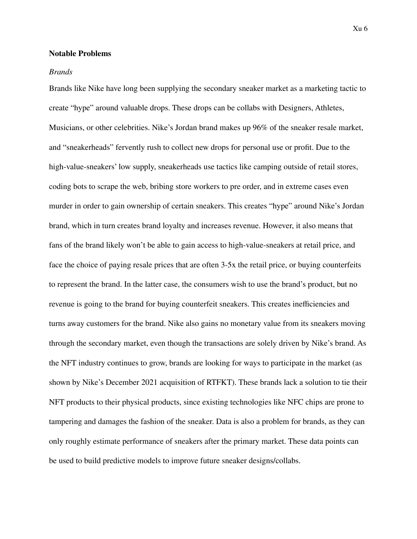#### **Notable Problems**

#### *Brands*

Brands like Nike have long been supplying the secondary sneaker market as a marketing tactic to create "hype" around valuable drops. These drops can be collabs with Designers, Athletes, Musicians, or other celebrities. Nike's Jordan brand makes up 96% of the sneaker resale market, and "sneakerheads" fervently rush to collect new drops for personal use or profit. Due to the high-value-sneakers' low supply, sneakerheads use tactics like camping outside of retail stores, coding bots to scrape the web, bribing store workers to pre order, and in extreme cases even murder in order to gain ownership of certain sneakers. This creates "hype" around Nike's Jordan brand, which in turn creates brand loyalty and increases revenue. However, it also means that fans of the brand likely won't be able to gain access to high-value-sneakers at retail price, and face the choice of paying resale prices that are often 3-5x the retail price, or buying counterfeits to represent the brand. In the latter case, the consumers wish to use the brand's product, but no revenue is going to the brand for buying counterfeit sneakers. This creates inefficiencies and turns away customers for the brand. Nike also gains no monetary value from its sneakers moving through the secondary market, even though the transactions are solely driven by Nike's brand. As the NFT industry continues to grow, brands are looking for ways to participate in the market (as shown by Nike's December 2021 acquisition of RTFKT). These brands lack a solution to tie their NFT products to their physical products, since existing technologies like NFC chips are prone to tampering and damages the fashion of the sneaker. Data is also a problem for brands, as they can only roughly estimate performance of sneakers after the primary market. These data points can be used to build predictive models to improve future sneaker designs/collabs.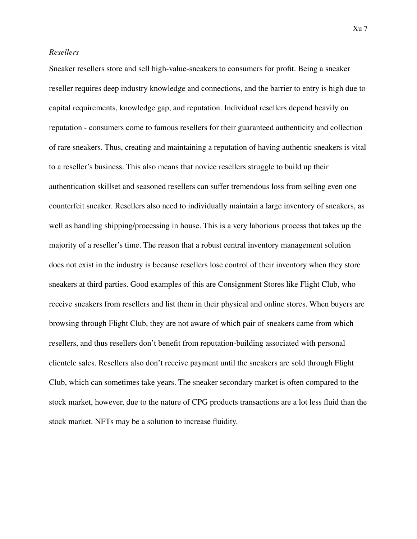#### *Resellers*

Sneaker resellers store and sell high-value-sneakers to consumers for profit. Being a sneaker reseller requires deep industry knowledge and connections, and the barrier to entry is high due to capital requirements, knowledge gap, and reputation. Individual resellers depend heavily on reputation - consumers come to famous resellers for their guaranteed authenticity and collection of rare sneakers. Thus, creating and maintaining a reputation of having authentic sneakers is vital to a reseller's business. This also means that novice resellers struggle to build up their authentication skillset and seasoned resellers can suffer tremendous loss from selling even one counterfeit sneaker. Resellers also need to individually maintain a large inventory of sneakers, as well as handling shipping/processing in house. This is a very laborious process that takes up the majority of a reseller's time. The reason that a robust central inventory management solution does not exist in the industry is because resellers lose control of their inventory when they store sneakers at third parties. Good examples of this are Consignment Stores like Flight Club, who receive sneakers from resellers and list them in their physical and online stores. When buyers are browsing through Flight Club, they are not aware of which pair of sneakers came from which resellers, and thus resellers don't benefit from reputation-building associated with personal clientele sales. Resellers also don't receive payment until the sneakers are sold through Flight Club, which can sometimes take years. The sneaker secondary market is often compared to the stock market, however, due to the nature of CPG products transactions are a lot less fluid than the stock market. NFTs may be a solution to increase fluidity.